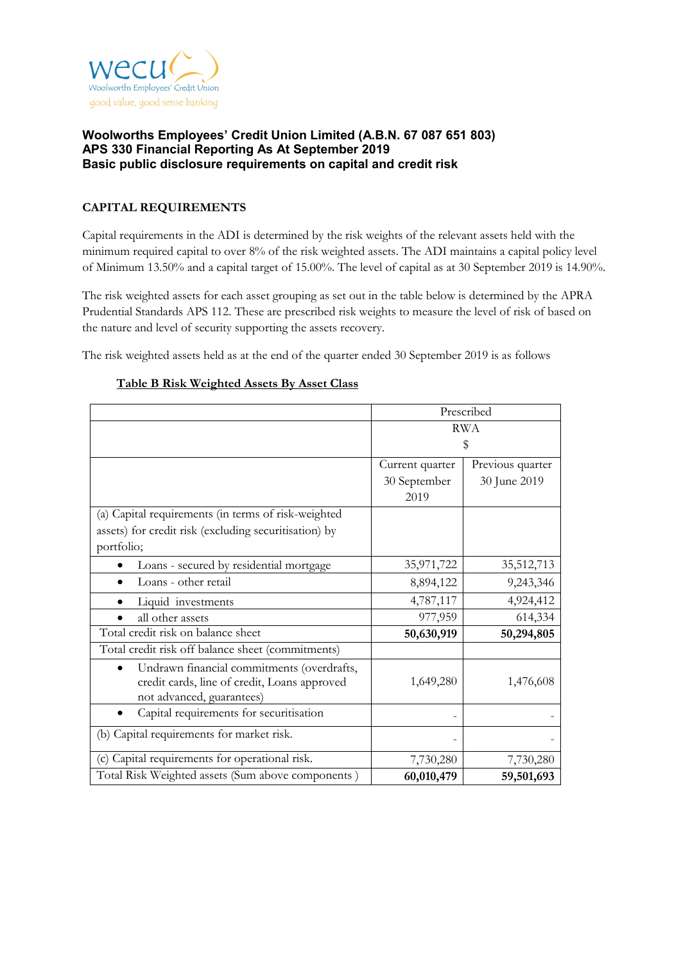

# **CAPITAL REQUIREMENTS**

Capital requirements in the ADI is determined by the risk weights of the relevant assets held with the minimum required capital to over 8% of the risk weighted assets. The ADI maintains a capital policy level of Minimum 13.50% and a capital target of 15.00%. The level of capital as at 30 September 2019 is 14.90%.

The risk weighted assets for each asset grouping as set out in the table below is determined by the APRA Prudential Standards APS 112. These are prescribed risk weights to measure the level of risk of based on the nature and level of security supporting the assets recovery.

The risk weighted assets held as at the end of the quarter ended 30 September 2019 is as follows

|                                                                                                                         | Prescribed      |                  |  |
|-------------------------------------------------------------------------------------------------------------------------|-----------------|------------------|--|
|                                                                                                                         | <b>RWA</b>      |                  |  |
|                                                                                                                         | \$              |                  |  |
|                                                                                                                         | Current quarter | Previous quarter |  |
|                                                                                                                         | 30 September    | 30 June 2019     |  |
|                                                                                                                         | 2019            |                  |  |
| (a) Capital requirements (in terms of risk-weighted                                                                     |                 |                  |  |
| assets) for credit risk (excluding securitisation) by                                                                   |                 |                  |  |
| portfolio;                                                                                                              |                 |                  |  |
| Loans - secured by residential mortgage                                                                                 | 35,971,722      | 35,512,713       |  |
| Loans - other retail                                                                                                    | 8,894,122       | 9,243,346        |  |
| Liquid investments                                                                                                      | 4,787,117       | 4,924,412        |  |
| all other assets                                                                                                        | 977,959         | 614,334          |  |
| Total credit risk on balance sheet                                                                                      | 50,630,919      | 50,294,805       |  |
| Total credit risk off balance sheet (commitments)                                                                       |                 |                  |  |
| Undrawn financial commitments (overdrafts,<br>credit cards, line of credit, Loans approved<br>not advanced, guarantees) | 1,649,280       | 1,476,608        |  |
| Capital requirements for securitisation                                                                                 |                 |                  |  |
| (b) Capital requirements for market risk.                                                                               |                 |                  |  |
| (c) Capital requirements for operational risk.                                                                          | 7,730,280       | 7,730,280        |  |
| Total Risk Weighted assets (Sum above components)                                                                       | 60,010,479      | 59,501,693       |  |

#### **Table B Risk Weighted Assets By Asset Class**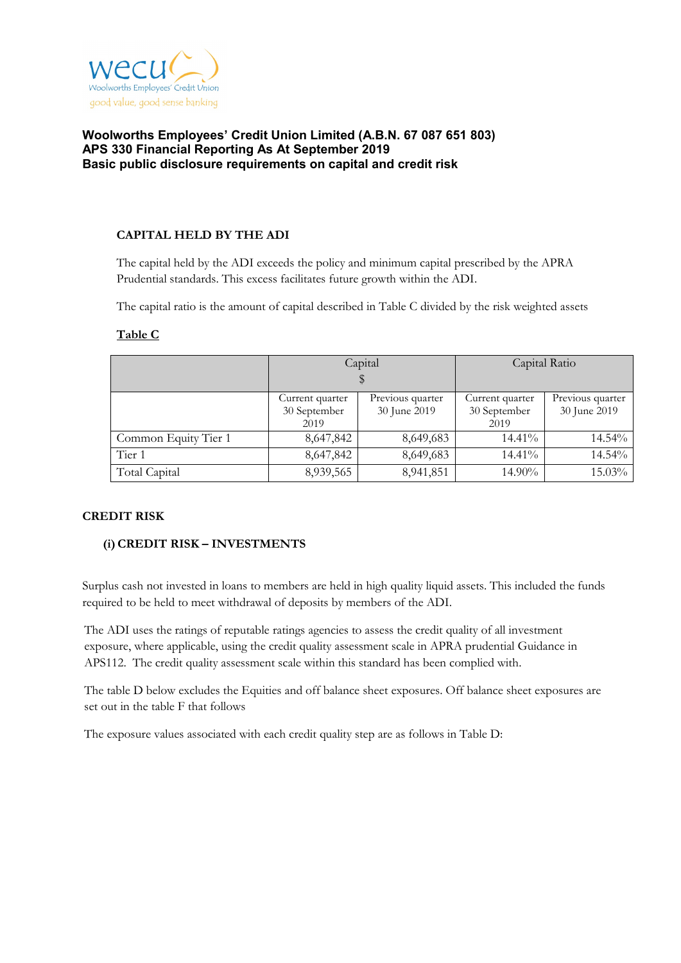

### **CAPITAL HELD BY THE ADI**

The capital held by the ADI exceeds the policy and minimum capital prescribed by the APRA Prudential standards. This excess facilitates future growth within the ADI.

The capital ratio is the amount of capital described in Table C divided by the risk weighted assets

|                      |                              | Capital          | Capital Ratio   |                  |  |
|----------------------|------------------------------|------------------|-----------------|------------------|--|
|                      |                              |                  |                 |                  |  |
|                      | Current quarter              | Previous quarter | Current quarter | Previous quarter |  |
|                      | 30 September<br>30 June 2019 |                  | 30 September    | 30 June 2019     |  |
|                      | 2019                         |                  | 2019            |                  |  |
| Common Equity Tier 1 | 8,647,842                    | 8,649,683        | 14.41%          | 14.54%           |  |
| Tier 1               | 8,647,842                    | 8,649,683        | 14.41%          | 14.54%           |  |
| Total Capital        | 8,939,565                    | 8,941,851        | 14.90%          | 15.03%           |  |

### **Table C**

#### **CREDIT RISK**

# **(i)CREDIT RISK – INVESTMENTS**

Surplus cash not invested in loans to members are held in high quality liquid assets. This included the funds required to be held to meet withdrawal of deposits by members of the ADI.

The ADI uses the ratings of reputable ratings agencies to assess the credit quality of all investment exposure, where applicable, using the credit quality assessment scale in APRA prudential Guidance in APS112. The credit quality assessment scale within this standard has been complied with.

The table D below excludes the Equities and off balance sheet exposures. Off balance sheet exposures are set out in the table F that follows

The exposure values associated with each credit quality step are as follows in Table D: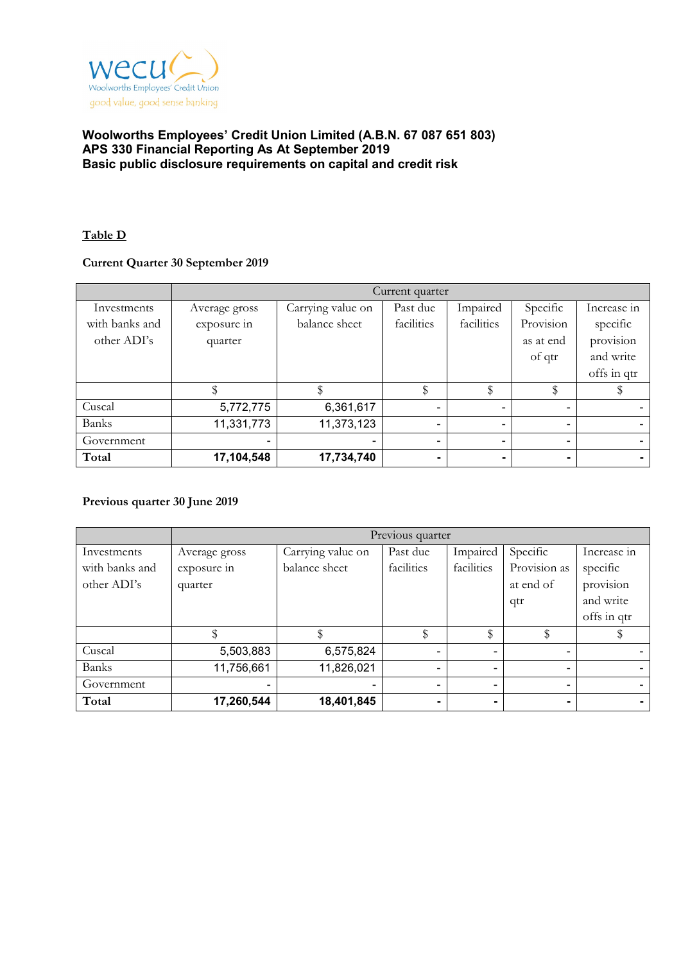

## **Table D**

# **Current Quarter 30 September 2019**

|                | Current quarter |                   |                |                |                          |                          |
|----------------|-----------------|-------------------|----------------|----------------|--------------------------|--------------------------|
| Investments    | Average gross   | Carrying value on | Past due       | Impaired       | Specific                 | Increase in              |
| with banks and | exposure in     | balance sheet     | facilities     | facilities     | Provision                | specific                 |
| other ADI's    | quarter         |                   |                |                | as at end                | provision                |
|                |                 |                   |                |                | of qtr                   | and write                |
|                |                 |                   |                |                |                          | offs in qtr              |
|                |                 |                   | \$             | \$             | \$                       |                          |
| Cuscal         | 5,772,775       | 6,361,617         | $\blacksquare$ |                | $\blacksquare$           |                          |
| <b>Banks</b>   | 11,331,773      | 11,373,123        | $\blacksquare$ | $\blacksquare$ | $\overline{\phantom{a}}$ | $\overline{\phantom{0}}$ |
| Government     |                 |                   | ۰              |                | $\overline{\phantom{a}}$ |                          |
| Total          | 17,104,548      | 17,734,740        | ۰.             |                | ۰.                       |                          |

#### **Previous quarter 30 June 2019**

|                | Previous quarter |                   |            |            |                |             |  |
|----------------|------------------|-------------------|------------|------------|----------------|-------------|--|
| Investments    | Average gross    | Carrying value on | Past due   | Impaired   | Specific       | Increase in |  |
| with banks and | exposure in      | balance sheet     | facilities | facilities | Provision as   | specific    |  |
| other ADI's    | quarter          |                   |            |            | at end of      | provision   |  |
|                |                  |                   |            |            | qtr            | and write   |  |
|                |                  |                   |            |            |                | offs in qtr |  |
|                |                  |                   | \$         | \$         |                |             |  |
| Cuscal         | 5,503,883        | 6,575,824         |            |            | ۰              |             |  |
| Banks          | 11,756,661       | 11,826,021        |            |            | $\blacksquare$ |             |  |
| Government     |                  |                   |            |            | ۰              |             |  |
| Total          | 17,260,544       | 18,401,845        |            |            | ۰              |             |  |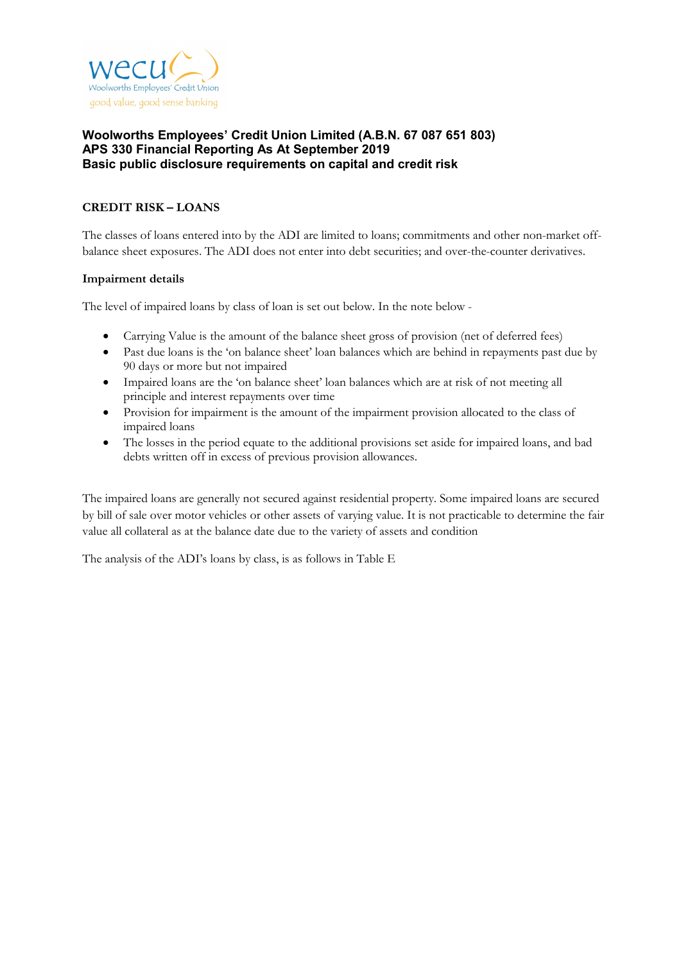

# **CREDIT RISK – LOANS**

The classes of loans entered into by the ADI are limited to loans; commitments and other non-market offbalance sheet exposures. The ADI does not enter into debt securities; and over-the-counter derivatives.

#### **Impairment details**

The level of impaired loans by class of loan is set out below. In the note below -

- Carrying Value is the amount of the balance sheet gross of provision (net of deferred fees)
- Past due loans is the 'on balance sheet' loan balances which are behind in repayments past due by 90 days or more but not impaired
- Impaired loans are the 'on balance sheet' loan balances which are at risk of not meeting all principle and interest repayments over time
- Provision for impairment is the amount of the impairment provision allocated to the class of impaired loans
- The losses in the period equate to the additional provisions set aside for impaired loans, and bad debts written off in excess of previous provision allowances.

The impaired loans are generally not secured against residential property. Some impaired loans are secured by bill of sale over motor vehicles or other assets of varying value. It is not practicable to determine the fair value all collateral as at the balance date due to the variety of assets and condition

The analysis of the ADI's loans by class, is as follows in Table E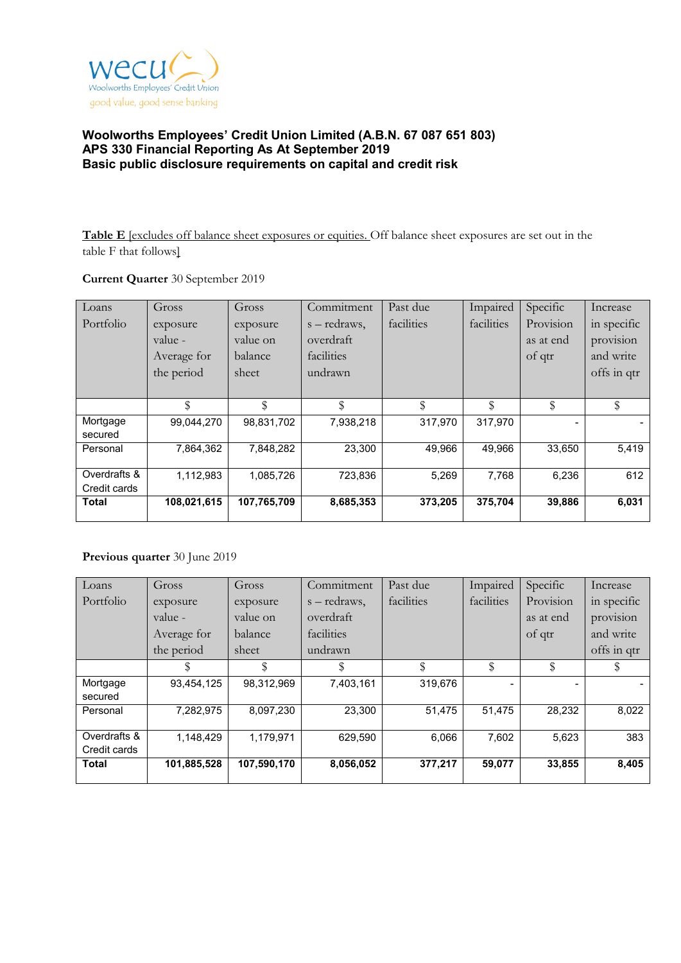

**Table E** [excludes off balance sheet exposures or equities. Off balance sheet exposures are set out in the table F that follows]

## **Current Quarter** 30 September 2019

| Loans        | Gross       | Gross       | Commitment   | Past due   | Impaired   | Specific  | Increase    |
|--------------|-------------|-------------|--------------|------------|------------|-----------|-------------|
| Portfolio    | exposure    | exposure    | s – redraws, | facilities | facilities | Provision | in specific |
|              | value -     | value on    | overdraft    |            |            | as at end | provision   |
|              | Average for | balance     | facilities   |            |            | of qtr    | and write   |
|              | the period  | sheet       | undrawn      |            |            |           | offs in qtr |
|              |             |             |              |            |            |           |             |
|              | \$          | \$          | \$           | \$         | \$         | \$        | \$          |
| Mortgage     | 99.044.270  | 98,831,702  | 7,938,218    | 317.970    | 317.970    |           |             |
| secured      |             |             |              |            |            |           |             |
| Personal     | 7,864,362   | 7,848,282   | 23,300       | 49,966     | 49,966     | 33,650    | 5,419       |
|              |             |             |              |            |            |           |             |
| Overdrafts & | 1,112,983   | 1,085,726   | 723,836      | 5,269      | 7,768      | 6,236     | 612         |
| Credit cards |             |             |              |            |            |           |             |
| Total        | 108,021,615 | 107,765,709 | 8,685,353    | 373,205    | 375,704    | 39,886    | 6,031       |

# **Previous quarter** 30 June 2019

| Loans        | Gross       | Gross       | Commitment   | Past due   | Impaired   | Specific  | Increase    |
|--------------|-------------|-------------|--------------|------------|------------|-----------|-------------|
| Portfolio    | exposure    | exposure    | s – redraws, | facilities | facilities | Provision | in specific |
|              | value -     | value on    | overdraft    |            |            | as at end | provision   |
|              | Average for | balance     | facilities   |            |            | of qtr    | and write   |
|              | the period  | sheet       | undrawn      |            |            |           | offs in qtr |
|              | \$          | \$          | S            | \$         | \$         | \$        | S           |
| Mortgage     | 93,454,125  | 98,312,969  | 7,403,161    | 319,676    |            |           |             |
| secured      |             |             |              |            |            |           |             |
| Personal     | 7,282,975   | 8,097,230   | 23,300       | 51,475     | 51.475     | 28,232    | 8,022       |
| Overdrafts & | 1,148,429   | 1,179,971   | 629,590      | 6,066      | 7,602      | 5,623     | 383         |
| Credit cards |             |             |              |            |            |           |             |
| <b>Total</b> | 101,885,528 | 107,590,170 | 8,056,052    | 377,217    | 59,077     | 33,855    | 8,405       |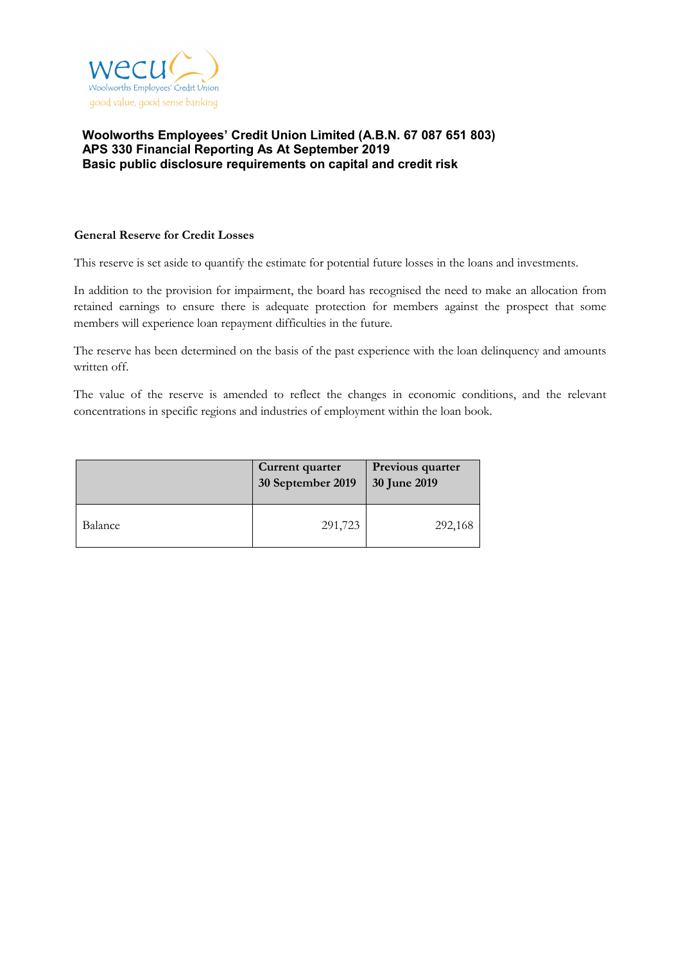

#### **General Reserve for Credit Losses**

This reserve is set aside to quantify the estimate for potential future losses in the loans and investments.

In addition to the provision for impairment, the board has recognised the need to make an allocation from retained earnings to ensure there is adequate protection for members against the prospect that some members will experience loan repayment difficulties in the future.

The reserve has been determined on the basis of the past experience with the loan delinquency and amounts written off.

The value of the reserve is amended to reflect the changes in economic conditions, and the relevant concentrations in specific regions and industries of employment within the loan book.

|         | Current quarter<br>30 September 2019 | Previous quarter<br>30 June 2019 |
|---------|--------------------------------------|----------------------------------|
| Balance | 291,723                              | 292,168                          |